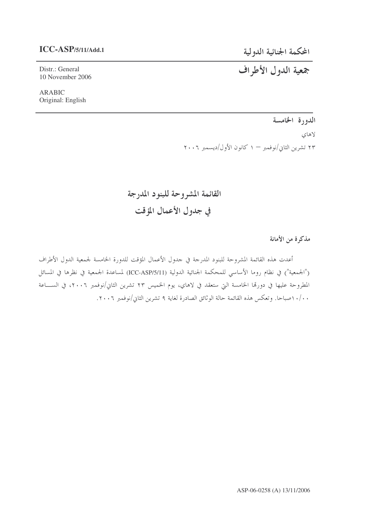# **ICC-ASP/5/11/Add.1**

المحكمة الجنائية الدولية جمعية الدول الأطراف

Distr.: General 10 November 2006

ARABIC Original: English

الدورة الخامسة

لاهاي ۲۳ تشرین الثاني/نوفمبر — ۱ کانون الأول/دیسمبر ۲۰۰۶

القائمة المشروحة للبنود المدرجة في جدول الأعمال المؤقت

مذكرة من الأمانة

أعدت هذه القائمة المشروحة للبنود المدرجة في حدول الأعمال المؤقت للدورة الخامسة لجمعية الدول الأطراف ("الجمعية") في نظام روما الأساسي للمحكمة الجنائية الدولية (ICC-ASP/5/11) لمساعدة الجمعية في نظرها في المسائل المطروحة عليها في دورها الخامسة التي ستعقد في لاهاي، يوم الخميس ٢٣ تشرين الثاني/نوفمبر ٢٠٠٦، في الســـاعة ١٠/٠ صباحًا. وتعكس هذه القائمة حالة الوثائق الصادرة لغاية ٩ تشرين الثاني/نوفمبر ٢٠٠٦.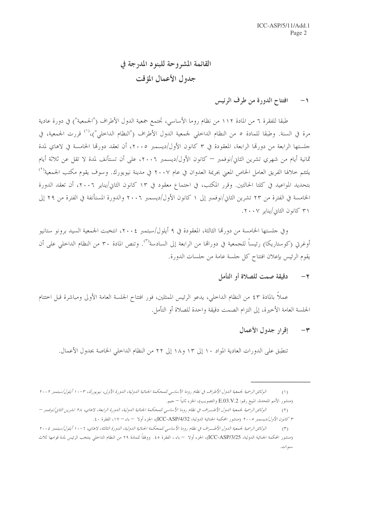# القائمة المشروحة للبنود المدرجة في جدول الأعمال المؤقت

### افتتاح الدورة من طرف الرئيس  $-1$

طبقا للفقرة ٦ من المادة ١١٢ من نظام روما الأساسي، تجتمع جمعية الدول الأطراف ("الجمعية") في دورة عادية مرة في السنة. وطبقا للمادة ٥ من النظام الداحلي لجمعية الدول الأطراف ("النظام الداحلي")،<sup>(١)</sup> قررت الجمعية، في جلستها الرابعة من دورقما الرابعة، المعقودة في ٣ كانون الأول/ديسمبر ٢٠٠٥، أن تعقد دورقما الخامسة في لاهاي لمدة ثمانية أيام من شهري تشرين الثاني/نوفمبر — كانون الأول/ديسمبر ٢٠٠٦، على أن تستأنف لمدة لا تقل عن ثلاثة أيام يلتئم خلالها الفريق العامل الخاص المعبي بجريمة العدوان في عام ٢٠٠٧ في مدينة نيويورك. وسوف يقوم مكتب الجمعية<sup>(٢)</sup> بتحديد المواعيد في كلتا الحالتين. وقرر المكتب، في اجتماع معقود في ١٣ كانون الثاني/يناير ٢٠٠٦، أن تعقد الدورة الخامسة في الفترة من ٢٣ تشرين الثاني/نوفمبر إلى ١ كانون الأول/ديسمبر ٢٠٠٦ والدورة المستأنفة في الفترة من ٢٩ إلى ٣١ كانون الثاني/يناير ٢٠٠٧.

وفي جلستها الخامسة من دورقما الثالثة، المعقودة في ٩ أيلول/سبتمبر ٢٠٠٤، انتخبت الجمعية السيد برونو ستانيو أوغرتي (كوستاريكا) رئيساً للجمعية في دوراقما من الرابعة إلى السادسة'``. وتنص المادة ٣٠ من النظام الداخلي على أن يقوم الرئيس بإعلان افتتاح كل جلسة عامة من جلسات الدورة.

#### دقيقة صمت للصلاة أو التأمل  $-7$

عملاً بالمادة ٤٣ من النظام الداخلي، يدعو الرئيس الممثلين، فور افتتاح الجلسة العامة الأولى ومباشرة قبل اختتام الجلسة العامة الأخيرة، إلى التزام الصمت دقيقة واحدة للصلاة أو التأمل.

### إقرار جدول الأعمال  $-<sup>\omega</sup>$

تنطبق على الدورات العادية المواد ١٠ إلى ١٣ و١٨ إلى ٢٢ من النظام الداخلي الخاصة بجدول الأعمال.

الوثائق الرسمية لجمعية الدول الأطراف في نظام روما الأساسي للمحكمة الجنائية الدولية، الدورة الأولى، نيويورك، ٣-١٠ أيلول/سبتمبر ٢٠٠٢  $(1)$ (منشور الأمم المتحدة، المبيع رقم: E.03.V.2 والتصويب)، الجزء ثانياً — حيم.

الوثائق الرسمية لجمعية اللهول الأطـراف في نظام روما الأساسي للمحكمة الجنائية اللهولية، اللهورة الرابعة، لاهاي، ٢٨ تشرين الثاني/نوفمبر –  $(1)$ ٣ كانو*ن الأول/ديسمبر ٢٠٠٥* (منشور المحكمة الجنائية الدولية، ICC-ASP/4/32)، الجزء أولا – باء – ١٧، الفقرة ٤٠.

الوثائق الرسمية لجمعية اللهول الأطــراف في نظام روما الأساسي للمحكمة الجنائية اللهولية، اللهورة الثالثة، لاهاي، ٦-١٠ أيلول/سبتمبر ٢٠٠٤  $(\mathcal{T})$ (منشور المحكمة الجنائية الدولية، ICC-ASP/3/25)، الجزء أولا  $\cdot$  باء ، الفقرة ٥٥. ووفقاً للمادة ٢٩ من النظام الداخلي ينتخب الرئيس لمدة قوامها ثلاث سنو ات.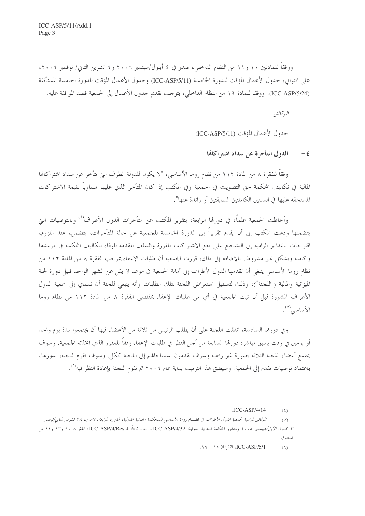ووفقاً للمادتين ١٠ و١١ من النظام الداخلي، صدر في ٤ أيلول/سبتمبر ٢٠٠٦ و٦ تشرين الثاني/ نوفمبر ٢٠٠٦، على التوالي، جدول الأعمال المؤقت للدورة الخامسة (ICC-ASP/5/11) وجدول الأعمال المؤقت للدورة الخامسة المستأنفة (ICC-ASP/5/24). ووفقا للمادة ١٩ من النظام الداخلي، يتوجب تقديم جدول الأعمال إلى الجمعية قصد الموافقة عليه.

البوثيائق

حدول الأعمال المؤقت (ICC-ASP/5/11)

الدول المتأخرة عن سداد اشتراكاتها  $-\epsilon$ 

وفقاً للفقرة ٨ من المادة ١١٢ من نظام روما الأساسي، "لا يكون للدولة الطرف التي تتأخر عن سداد اشتراكاتما المالية في تكاليف المحكمة حق التصويت في الجمعية وفي المكتب إذا كان المتأخر الذي عليها مساوياً لقيمة الاشتراكات المستحقة عليها في السنتين الكاملتين السابقتين أو زائدة عنها".

وأحاطت الجمعية علماً، في دورِها الرابعة، بتقرير المكتب عن متأخرات الدول الأطراف<sup>(٤)</sup> وبالتوصيات التي يتضمنها ودعت المكتب إلى أن يقدم تقريراً إلى الدورة الخامسة للجمعية عن حالة المتأخرات، يتضمن، عند اللزوم، اقتراحات بالتدابير الرامية إلى التشجيع على دفع الاشتراكات المقررة والسلف المقدمة للوفاء بتكاليف المحكمة في موعدها وكاملة وبشكل غير مشروط. بالإضافة إلى ذلك، قررت الجمعية أن طلبات الإعفاء بموجب الفقرة ٨ من المادة ١١٢ من نظام روما الأساسي ينبغي أن تقدمها الدول الأطراف إلى أمانة الجمعية في موعد لا يقل عن الشهر الواحد قبيل دورة لجنة الميزانية والمالية ("اللجنة")، وذلك لتسهيل استعراض اللجنة لتلك الطلبات وأنه ينبغي للجنة أن تسدي إلى جمعية الدول الأطراف المشورة قبل أن تبت الجمعية في أي من طلبات الإعفاء بمقتضى الفقرة ٨ من المادة ١١٢ من نظام روما الأساسى (°).

وفي دورهّا السادسة، اتفقت اللجنة على أن يطلب الرئيس من ثلاثة من الأعضاء فيها أن يجتمعوا لمدة يوم واحد أو يومين في وقت يسبق مباشرة دورهّا السابعة من أجل النظر في طلبات الإعفاء وفقاً للمقرر الذي اتخذته الجمعية. وسوف يجتمع أعضاء اللجنة الثلاثة بصورة غير رسمية وسوف يقدمون استنتاجاهم إلى اللجنة ككل. وسوف تقوم اللجنة، بدورها، باعتماد توصيات تقدم إلى الجمعية. وسيطبق هذا الترتيب بداية عام ٢٠٠٦ ثم تقوم اللجنة بإعادة النظر فيه<sup>(٦)</sup>.

ICC-ASP/5/1. الفقرتان ١٥ - ١٦.  $(7)$ 

 $ICC-ASP/4/14$  $(5)$ 

الوثائق الرسمية لجمعية الدول الأطراف في نظسام روما الأساسي للمحكمة الجنائية الدولية، الدورة الرابعة، لاهاي، ٢٨ تشرين الثاني/نوفمبر —  $(0)$ ٣ *كانون الأول/ديسمبر ٢٠٠٥* (منشور المحكمة الجنائية الدولية، ICC-ASP/4/32)، الجزء ثالثاً، ICC-ASP/4/Res.4، الفقرات ٤٠ و٤٢ و٤٤ من المنطوق.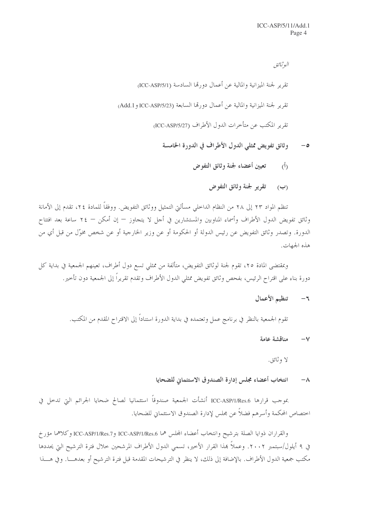البوثيائق تقرير لجنة الميزانية والمالية عن أعمال دورتها السادسة (ICC-ASP/5/1) تقرير لجنة الميزانية والمالية عن أعمال دورتما السابعة (ICC-ASP/5/23 و Add.1) تقرير المكتب عن متأخرات الدول الأطراف (ICC-ASP/5/27)

- وثائق تفويض ممثلي الدول الأطراف في الدورة الخامسة  $-$ 0
	- تعيين أعضاء لجنة وثائق التفوض  $\langle \hat{h} \rangle$ 
		- (ب) تقرير لجنة وثائق التفوض

تنظم المواد ٢٣ إلى ٢٨ من النظام الداحلي مسألتي التمثيل ووثائق التفويض. ووفقاً للمادة ٢٤، تقدم إلى الأمانة وثائق تفويض الدول الأطراف وأسماء المناوبين والمستشارين في أجل لا يتجاوز — إن أمكن — ٢٤ ساعة بعد افتتاح الدورة. وتصدر وثائق التفويض عن رئيس الدولة أو الحكومة أو عن وزير الخارجية أو عن شخص مخوّل من قبل أي من هذه الجهات.

وبمقتضى المادة ٢٥، تقوم لجنة لوثائق التفويض، متألفة من ممثلي تسع دول أطراف، تعينهم الجمعية في بداية كل دورة بناء على اقتراح الرئيس، بفحص وثائق تفويض ممثلي الدول الأطراف وتقدم تقريراً إلى الجمعية دون تأحير .

> تنظيم الأعمال  $-5$

تقوم الجمعية بالنظر في برنامج عمل وتعتمده في بداية الدورة استناداً إلى الاقتراح المقدم من المكتب.

مناقشة عامة  $-\vee$ 

لا وثائق.

انتخاب أعضاء مجلس إدارة الصندوق الاستئماني للضحايا  $-\Lambda$ 

بموجب قرارها ICC-ASP/1/Res.6 أنشأت الجمعية صندوقاً استئمانيا لصالح ضحايا الجرائم التي تدحل في احتصاص المحكمة وأسرهم فضلاً عن مجلس لإدارة الصندوق الاستئماني للضحايا.

والقراران ذوايا الصلة بترشيح وانتخاب أعضاء المجلس هما ICC-ASP/1/Res.6 وICC-ASP/1/Res.7 وكلاهما مؤرخ في ٩ أيلول/سبتمبر ٢٠٠٢. وعملاً بمذا القرار الأخير، تسمى الدول الأطراف المرشحين حلال فترة الترشيح التي يحددها مكتب جمعية الدول الأطراف. بالإضافة إلى ذلك، لا ينظر في الترشيحات المقدمة قبل فترة الترشيح أو بعدهــــا. وفي هــــذا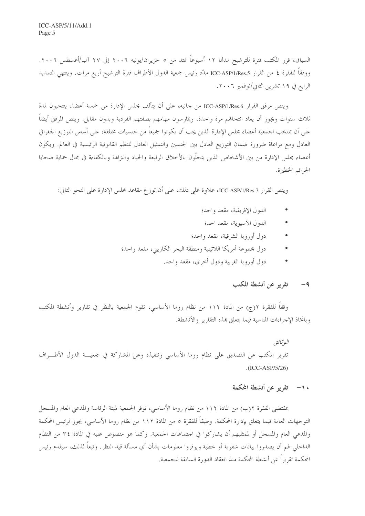السياق، قرر المكتب فترة للترشيح مدمّا ١٢ أسبوعاً تمتد من ٥ حزيران/يونيه ٢٠٠٦ إلى ٢٧ آب/أغسطس ٢٠٠٦. ووفقاً للفقرة ٤ من القرار ICC-ASP/1/Res.5 ملدّد رئيس جمعية الدول الأطراف فترة الترشيح أربع مرات. وينتهي التمديد الرابع في ١٩ تشرين الثاني/نوفمبر ٢٠٠٦.

وينص مرفق القرار ICC-ASP/1/Res.6 من حانبه، على أن يتألف مجلس الإدارة من خمسة أعضاء ينتخبون لمدة ثلاث سنوات ويجوز أن يعاد انتخابهم مرة واحدة. ويمارسون مهامهم بصفتهم الفردية وبدون مقابل. وينص المرفق أيضاً على أن تنتخب الجمعية أعضاء مجلس الإدارة الذين يجب أن يكونوا جميعاً من حنسيات مختلفة، على أساس التوزيع الجغرافي العادل ومع مراعاة ضرورة ضمان التوزيع العادل بين الجنسين والتمثيل العادل للنظم القانونية الرئيسية في العالم. ويكون أعضاء مجلس الإدارة من بين الأشخاص الذين يتحلُّون بالأخلاق الرفيعة والحياد والنزاهة وبالكفاءة في مجال حماية ضحايا الجرائم الخطيرة.

وينص القرار ICC-ASP/1/Res.7، علاوة على ذلك، على أن توزع مقاعد مجلس الإدارة على النحو التالي:

- الدول الإفريقية، مقعد واحد؛
- الدول الآسيوية، مقعد احد؛
- دول أوروبا الشرقية، مقعد واحد؛
- دول مجموعة أمريكا اللاتينية ومنطقة البحر الكاريبي، مقعد واحد؛
	- دول أوروبا الغربية ودول أحرى، مقعد واحد.

#### تقرير عن أنشطة المكتب  $-9$

وقفًا للفقرة ٢(ج) من المادة ١١٢ من نظام روما الأساسي، تقوم الجمعية بالنظر في تقارير وأنشطة المكتب وباتخاذ الإحراءات المناسبة فيما يتعلق بمذه التقارير والأنشطة.

البوثيائق تقرير المكتب عن التصديق على نظام روما الأساسي وتنفيذه وعن المشاركة في جمعيـــة الدول الأطـــراف  $.(ICC-ASP/5/26)$ 

# ١٠– تقرير عن أنشطة المحكمة

بمقتضى الفقرة ٢(ب) من المادة ١١٢ من نظام روما الأساسي، توفر الجمعية لهيئة الرئاسة والمدعى العام والمسجل التوحهات العامة فيما يتعلق بإدارة المحكمة. وطبقاً للفقرة ٥ من المادة ١١٢ من نظام روما الأساسي، يجوز لرئيس المحكمة والمدعى العام والمسجل أو لممثليهم أن يشاركوا في اجتماعات الجمعية. وكما هو منصوص عليه في المادة ٣٤ من النظام الداخلي لهم أن يصدروا بيانات شفوية أو خطية ويوفروا معلومات بشأن أي مسألة قيد النظر . وتبعاً لذلك، سيقدم رئيس المحكمة تقربراً عن أنشطة المحكمة منذ انعقاد الدورة السابقة للجمعية.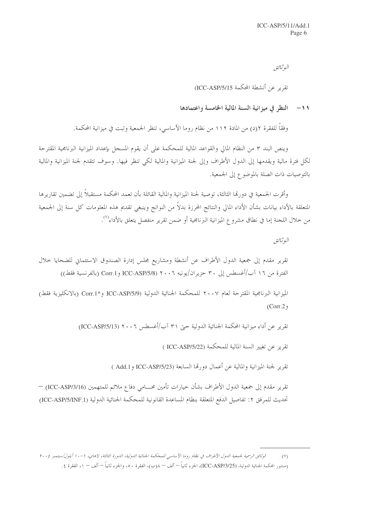البوثيائق

تقرير عن أنشطة المحكمة ICC-ASP/5/15)

### ١١- النظر في ميزانية السنة المالية الخامسة واعتمادها

وفقاً للفقرة ٢(د) من المادة ١١٢ من نظام روما الأساسي، تنظر الجمعية وتبت في ميزانية المحكمة.

وينص البند ٣ من النظام المالي والقواعد المالية للمحكمة على أن يقوم المسجل بإعداد الميزانية البرنامجية المقترحة لكل فترة مالية ويقدمها إلى الدول الأطراف وإلى لجنة الميزانية والمالية لكي تنظر فيها. وسوف تتقدم لجنة الميزانية والمالية بالتوصيات ذات الصلة بالموضوع إلى الجمعية.

وأقرت الجمعية في دورتما الثالثة، توصية لجنة الميزانية والمالية القائلة بأن تعمد المحكمة مستقبلاً إلى تضمين تقاريرها المتعلقة بالأداء بيانات بشأن الأداء المالي والنتائج المحرزة بدلاً من النواتج وينبغي تقديم هذه المعلومات كل سنة إلى الجمعية من خلال اللحنة إما في نطاق مشروع الميزانية البرنامجية أو ضمن تقرير منفصل يتعلق بالأداء<sup>(٧)</sup>.

البوثيائق

تقرير مقدم إلى جمعية الدول الأطراف عن أنشطة ومشاريع مجلس إدارة الصندوق الاستئماني للضحايا حلال الفترة من ١٦ آب/أغسطس إلى ٣٠ حزيران/يونيه ٢٠٠٦ (ICC-ASP/5/8 و Corr.1 (بالفرنسية فقط))

الميزانية البرنامجية المقترحة لعام ٢٠٠٧ للمحكمة الجنائية الدولية (ICC-ASP/5/9 و\*Corr.1 (بالانكليزية فقط)  $(Corr. 2)$ 

تقرير عن أداء ميزانية المحكمة الجنائية الدولية حتى ٣١ آب/أغسطس ٢٠٠٦ (ICC-ASP/5/13)

تقرير عن تغيير السنة المالية للمحكمة (ICC-ASP/5/22 )

تقرير لجنة الميزانية والمالية عن أعمال دورتها السابعة (ICC-ASP/5/23 و Add.1 )

تقرير مقدم إلى جمعية الدول الأطراف بشأن خيارات تأمين محـــامي دفاع ملائم للمتهمين (ICC-ASP/3/16) — تحديث للمرفق ٢: تفاصيل الدفع المتعلقة بنظام المساعدة القانونية للمحكمة الجنائية الدولية (ICC-ASP/5/INF.1)

اموثائق الرسمية لجمعية الدول الأطراف في نظام روما الأساسي للمحكمة الجنائية الدولية، الدورة الثالثة، لاهاي، 7-١٠ أيلول/سبتمبر ٢٠٠٤  $(y)$ (منشور المحكمة الجنائية الدولية، (ICC-ASP/3/25)، الجزء ثانياً — ألف — λ(ب)، الفقرة ٥٠، والجزء ثانياً — ألف — ١، الفقرة ٤.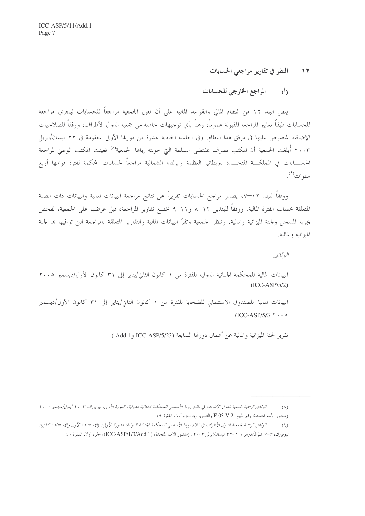١٢- النظر في تقارير مراجعي الحسابات

المراجع الخارجي للحسابات  $\Lambda$ 

ينص البند ١٢ من النظام المالي والقواعد المالية على أن تعين الجمعية مراجعاً للحسابات ليجرى مراجعة للحسابات طبقاً لمعايير المراجعة المقبولة عموماً، رهناً بأي توجيهات خاصة من جمعية الدول الأطراف، ووفقاً للصلاحيات الإضافية المنصوص عليها في مرفق هذا النظام. وفي الجلسة الحادية عشرة من دورتما الأولى المعقودة في ٢٢ نيسان/ابريل ٢٠٠٣ أُبلغت الجمعية أن المكتب تصرف بمقتضى السلطة التي حولته إياها الجمعية<sup>(٨)</sup> فعينت المكتب الوطنى لمراجعة الحســــابات فى المملكـــة المتحــــدة لبريطانيا العظمة وايرلندا الشمالية مراجعاً لحسابات المحكمة لفترة قوامها أربع سنو ات<sup>(۹)</sup> .

ووفقاً للبند ١٢–٧، يصدر مراجع الحسابات تقريراً عن نتائج مراجعة البيانات المالية والبيانات ذات الصلة المتعلقة بحساب الفترة المالية. ووفقاً للبندين ٨٦١٢ و١٢-٩ تخضع تقارير المراجعة، قبل عرضها على الجمعية، لفحص يجريه المسجل ولجنة الميزانية والمالية. وتنظر الجمعية وتقرّ البيانات المالية والتقارير المتعلقة بالمراجعة التي توافيها بما لجنة الميزانية والمالية.

البوثيائق

البيانات المالية للمحكمة الجنائية الدولية للفترة من ١ كانون الثاني/يناير إلى ٣١ كانون الأول/ديسمبر ٢٠٠٥  $(ICC-ASP/5/2)$ 

البيانات المالية للصندوق الاستئماني للضحايا للفترة من ١ كانون الثاني/يناير إلى ٣١ كانون الأول/ديسمبر  $(ICC-ASP/5/3 \Upsilon \cdot \cdot \cdot \circ$ 

تقرير لجنة الميزانية والمالية عن أعمال دو, هَا السابعة (ICC-ASP/5/23 و Add.1 )

الوثائق الرسمية لجمعية الدول الأطراف في نظام روما الأساسي للمحكمة الجنائية الدولية، الدورة الأولى، نيويورك، ٣-١٠ أيلول/سبتمبر ٢٠٠٢  $(\wedge)$ (منشور الأمم المتحدة، رقم المبيع: E.03.V.2 والتصويب)، الجزء أولا، الفقرة ٢٩.

الوثائق الرسمية لجمعية الدول الأطراف في نظام روما الأساسي للمحكمة الجنائية الدولية، الدورة الأولى، (الاستثناف الأول والاستئناف الثاني)،  $(9)$ نيويورك، ٣-٧ شبا*ط/فبراير و٢١-٢٣ نيسان/ابريل ٢٠٠٣.* (منشور الأمم المتحدة، (ICC-ASP/1/3/Add.1)، الجزء أولا، الفقرة ٤٠.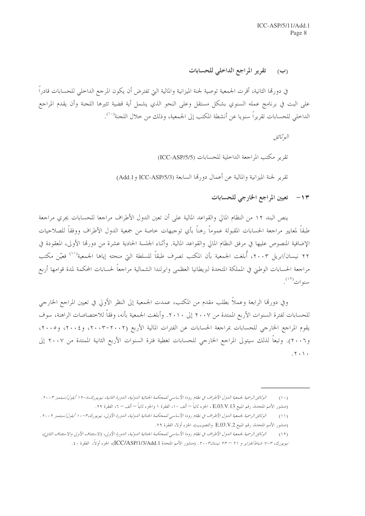### تقرير المراجع الداخلي للحسابات  $\left(\cup\right)$

في دورتما الثانية، أقرت الجمعية توصية لجنة الميزانية والمالية التي تفترض أن يكون المرجع الداخلي للحسابات قادراً على البت في برنامج عمله السنوي بشكل مستقل وعلى النحو الذي يشمل أية قضية تثيرها اللجنة وأن يقدم المراجع الداخلي للحسابات تقريراً سنويا عن أنشطة المكتب إلى الجمعية، وذلك من خلال اللجنة'``.

البوثيائق

تقرير مكتب المراجعة الداخلية للحسابات (ICC-ASP/5/5)

تقرير لجنة الميزانية والمالية عن أعمال دورتما السابعة (Add.1 و ICC-ASP/5/3 و Add.1)

# ١٣ - تعيين المراجع الخارجي للحسابات

ينص البند ١٢ من النظام المالي والقواعد المالية على أن تعين الدول الأطراف مراجعا للحسابات يجرى مراجعة طبقاً لمعايير مراجعة الحسابات المقبولة عموماً رهناً بأي توجيهات خاصة من جمعية الدول الأطراف ووفقاً للصلاحيات الإضافية المنصوص عليها في مرفق النظام المالي والقواعد المالية. وأثناء الجلسة الحادية عشرة من دورقما الأولى، المعقودة في ٢٢ نيسان/ابريل ٢٠٠٣، أُبلغت الجمعية بأن المكتب تصرف طبقاً للسلطة التي منحته إياها الجمعية<sup>(١١)</sup> فعيّن مكتب مراجعة الحسابات الوطني في المملكة المتحدة لبريطانيا العظمى وايرلندا الشمالية مراجعاً لحسابات المحكمة لمدة قوامها أربع سنوات<sup>(١٢)</sup>.

وفي دورقما الرابعة وعملاً بطلب مقدم من المكتب، عمدت الجمعية إلى النظر الأولى في تعيين المراجع الخارجي للحسابات لفترة السنوات الأربع الممتدة من ٢٠٠٧ إلى ٢٠١٠. وأبلغت الجمعية بأنه، وفقاً للاختصاصات الراهنة، سوف يقوم المراجع الخارجي للحسابات بمراجعة الحسابات عن الفترات المالية الأربع (٢٠٠٢-٢٠٠٣) و٢٠٠٤، و٢٠٠٥، و٢٠٠٢، و٢٠٠٦). وتبعاً لذلك سيتولى المراجع الخارجي للحسابات تغطية فترة السنوات الأربع الثانية الممتدة من ٢٠٠٧ إلى  $.7.1.$ 

الوثائق الرسمية لجمعية الدول الأطراف في نظام روما الأساسي للمحكمة الجنائية الدولية، الدورة الثانية، نيويورك،٨-١٢ أ أيلول/سبتمبر ٢٠٠٣ .  $(1 \cdot)$ (منشور الأمم المتحدة، رقم المبيع E.O3.V.13 ، الجزء ثانياً — ألف –١، الفقرة ١ والجزء ثانياً — ألف – ٦، الفقرة ٢٩.

الوثائق الرسمية لجمعية اللول الأطراف في نظام روما الأساسي للمحكمة الجنائية اللولية، اللورة الأولى، نيويورك،٣-١٠ أيلول/سبتمبر ٢٠٠٢ .  $(11)$ (منشور الأمم المتحدة، رقم المبيع E.03.V.2 والتصويب)، الجزء أولا، الفقرة ٢٩.

الوثائق الرسمية لجمعية الدول الأطراف في نظام روما الأساسي للمحكمة الجنائية الدولية، الدورة الأولى، (الاستئناف الأولى والاستئناف الثاني)،  $(11)$ نيويورك، ٣-٧ شب*اط/فبراير و ٢١ – ٢٣ نيسان٢٠٠٣.* (منشور الأمم المتحدة ICC/ASP/1/3/Add.1)، الجزء أولاً، الفقرة ٤٠.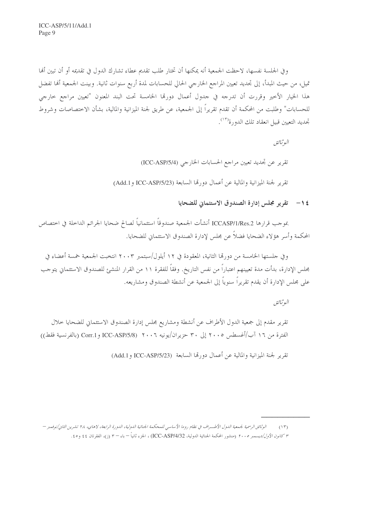و في الجلسة نفسها، لاحظت الجمعية أنه يمكنها أن تختار طلب تقديم عطاء تشارك الدول في تقديمه أو أن تبين ألها تميل، من حيث المبدأ، إلى تجديد تعيين المراجع الحارجي الحالي للحسابات لمدة أربع سنوات ثانية. وبينت الجمعية ألها تفضل هذا الخيار الأخير وقررت أن تدرجه في حدول أعمال دورهّا الخامسة تحت البند المعنون "تعيين مراجع خارجي للحسابات" وطلبت من المحكمة أن تقدم تقريراً إلى الجمعية، عن طريق لجنة الميزانية والمالية، بشأن الاختصاصات وشروط تحديد التعيين قبيل انعقاد تلك الدورة<sup>(١٣)</sup>.

> البوثيائق تقرير عن تجديد تعيين مراجع الحسابات الخارجي (ICC-ASP/5/4) تقرير لجنة الميزانية والمالية عن أعمال دورهّا السابعة (ICC-ASP/5/23 و Add.1)

> > 1 / - تقرير مجلس إدارة الصندوق الاستئماني للضحايا

بموجب قرارها ICCASP/1/Res.2 أنشأت الجمعية صندوقاً استئمانياً لصالح ضحايا الجرائم الداخلة في اختصاص المحكمة وأسر هؤلاء الضحايا فضلاً عن مجلس لإدارة الصندوق الاستئماني للضحايا.

وفي جلستها الخامسة من دورتما الثانية، المعقودة في ١٢ أيلول/سبتمبر ٢٠٠٣ انتخبت الجمعية خمسة أعضاء في مجلس الإدارة، بدأت مدة تعيينهم اعتباراً من نفس التاريخ. وفقاً للفقرة ١١ من القرار المنشئ للصندوق الاستئماني يتوحب على مجلس الإدارة أن يقدم تقريراً سنوياً إلى الجمعية عن أنشطة الصندوق ومشاريعه.

البوثيائق

تقرير مقدم إلى جمعية الدول الأطراف عن أنشطة ومشاريع مجلس إدارة الصندوق الاستئماني للضحايا خلال الفترة من ١٦ آب/أغسطس ٢٠٠٥ إلى ٣٠ حزيران/يونيه ٢٠٠٦ (ICC-ASP/5/8 و Corr.1 (بالفرنسية فقط))

تقرير لجنة الميزانية والمالية عن أعمال دورتها السابعة (ICC-ASP/5/23 و Add.1)

الوثائق الرسمية لجمعية الدول الأطــراف في نظام روما الأساسي للمحكمة الجنائية الدولية، الدورة الرابعة، لاهاي، ٢٨ تشرين الثاني/نوفمبر –  $(15)$ ٣ كانون الأول/ديسمبر ٢٠٠٥ (منشور المحكمة الجنائية الدولية، ICC-ASP/4/32) ، الجزء ثانياً – باء – ٣ (ز)، الفقرتان ٤٤ و٤٥.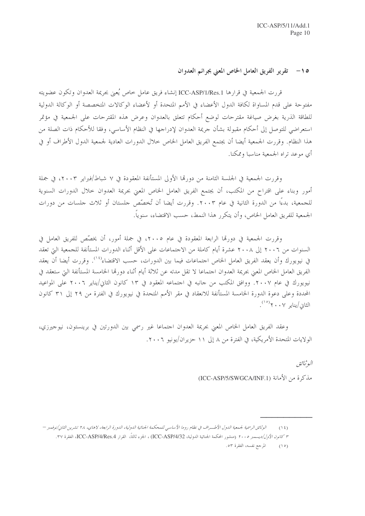# 0 ١ - \_ تقرير الفريق العامل الخاص المعنى بجرائم العدوان

قررت الجمعية في قرارها ICC-ASP/1/Res.1 إنشاء فريق عامل خاص يُعيَى بجريمة العدوان وتكون عضويته مفتوحة على قدم المساواة لكافة الدول الأعضاء في الأمم المتحدة أو لأعضاء الوكالات المتخصصة أو الوكالة الدولية للطاقة الذرية بغرض صياغة مقترحات لوضع أحكام تتعلق بالعدوان وعرض هذه المقترحات على الجمعية في مؤتمر استعراضي للتوصل إلى أحكام مقبولة بشأن حريمة العدوان لإدراجها في النظام الأساسي، وفقا للأحكام ذات الصلة من هذا النظام. وقررت الجمعية أيضا أن يجتمع الفريق العامل الخاص حلال الدورات العادية لجمعية الدول الأطراف أو في أي موعد تراه الجمعية مناسبا وممكنا.

وقررت الجمعية في الجلسة الثامنة من دورتما الأولى المستأنفة المعقودة في ٧ شباط/فبراير ٢٠٠٣، في جملة أمور وبناء على اقتراح من المكتب، أن يجتمع الفريق العامل الخاص المعنى بجريمة العدوان حلال الدورات السنوية للجمعية، بدءًا من الدورة الثانية في عام ٢٠٠٣. وقررت أيضا أن تُخصِّص حلستان أو ثلاث حلسات من دورات الجمعية للفريق العامل الخاص، وأن يتكرر هذا النمط، حسب الاقتضاء، سنوياً.

وقررت الجمعية في دورهّا الرابعة المعقودة في عام ٢٠٠٥، في جملة أمور، أن يخصّص للفريق العامل في السنوات من ٢٠٠٦ إلى ٢٠٠٨ عشرة أيام كاملة من الاحتماعات على الأقل أثناء الدورات المستأنفة للجمعية التي تعقد في نيويورك وأن يعقد الفريق العامل الخاص احتماعات فيما بين الدورات، حسب الاقتضاء<sup>(٢٠)</sup>. وقررت أيضا أن يعقد الفريق العامل الخاص المعنى بجريمة العدوان احتماعا لا تقل مدته عن ثلاثة أيام أثناء دورها الخامسة المستأنفة التي ستعقد في نيويورك في عام ٢٠٠٧. ووافق المكتب من حانبه في احتماعه المعقود في ١٣ كانون الثاني/يناير ٢٠٠٦ على المواعيد المحددة وعلى دعوة الدورة الحامسة المستأنفة للانعقاد في مقر الأمم المتحدة في نيويورك في الفترة من ٢٩ إلى ٣١ كانون الثاني/يناي<sub>ر</sub> ۲۰۰۷<sup>(۱۰)</sup>.

وعقد الفريق العامل الخاص المعنى بجريمة العدوان احتماعا غير رسمي بين الدورتين في برينستون، نيوجيرزي، الولايات المتحدة الأمريكية، في الفترة من ٨ إلى ١١ حزيران/يونيو ٢٠٠٦.

البوثيائق

مذكرة من الأمانة (ICC-ASP/5/SWGCA/INF.1)

الوثائق الرسمية لجمعية الدول الأطسراف في نظام روما الأساسي للمحكمة الجنائية الدولية، الدورة الرابعة، لاهاي، ٢٨ تشرين الثاني/نوفعير —  $(15)$ ٣ كانون الأول/ديسمبر ٢٠٠٥ (منشور المحكمة الجنائية الدولية، ICC-ASP/4/32)، الجزء ثالثاً، القرار ICC-ASP/4/Res.4، الفقرة ٣٢.

المرجع نفسه، الفقرة ٥٣.  $(10)$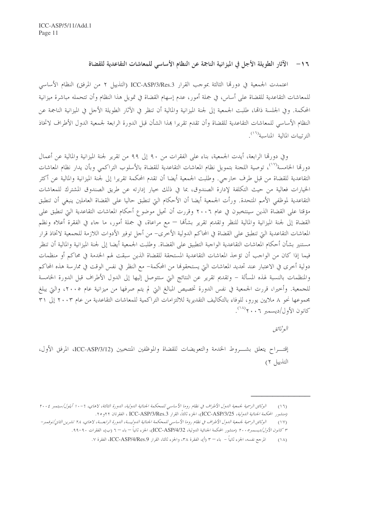١٦ – الآثار الطويلة الأجل في الميز انية الناجمة عن النظام الأساسي للمعاشات التقاعدية للقضاة

اعتمدت الجمعية في دورها الثالثة بموجب القرار ICC-ASP/3/Res.3 (التذييل ٢ من المرفق) النظام الأساسي للمعاشات التقاعدية للقضاة على أساس، في جملة أمور، عدم إسهام القضاة في تمويل هذا النظام وأن تتحمله مباشرة ميزانية المحكمة. وفي الجلسة ذامَّا، طلبت الجمعية إلى لجنة الميزانية والمالية أن تنظر في الآثار الطويلة الأجل في الميزانية الناجمة عن النظام الأساسي للمعاشات التقاعدية للقضاة وأن تقدم تقريرا بمذا الشأن قبل الدورة الرابعة لجمعية الدول الأطراف لاتخاذ الترتيبات المالية المناسبة<sup>(١٦)</sup>.

وفي دورها الرابعة، أيدت الجمعية، بناء على الفقرات من ٩٠ إلى ٩٩ من تقرير لجنة الميزانية والمالية عن أعمال دورقما الخامسة<sup>(١٧</sup>)، توصية اللجنة بتمويل نظام المعاشات التقاعدية للقضاة بالأسلوب التراكمبي وبأن يدار نظام المعاشات التقاعدية للقضاة من قبل طرف حارجي. وطلبت الجمعية أيضا أن تقدم المحكمة تقريرا إلى لجنة الميزانية والمالية عن أكثر الخيارات فعالية من حيث التكلفة لإدارة الصندوق، بما في ذلك حيار إدارته عن طريق الصندوق المشترك للمعاشات التقاعدية لموظفي الأمم المتحدة. ورأت الجمعية أيضا أن الأحكام التي تنطبق حاليا على القضاة العاملين ينبغي أن تنطبق مؤقتا على القضاة الذين سينتخبون في عام ٢٠٠٦ وقررت أن تحيل موضوع أحكام المعاشات التقاعدية التي تنطبق على القضاة إلى لجنة الميزانية والمالية للنظر وتقديم تقرير بشألها — مع مراعاة، في جملة أمور، ما حاء في الفقرة أعلاه ونظم المعاشات التقاعدية التي تنطبق على القضاة في المحاكم الدولية الأخرى– من أجل توفير الأدوات اللازمة للجمعية لاتخاذ قرار مستنير بشأن أحكام المعاشات التقاعدية الواجبة التطبيق على القضاة. وطلبت الجمعية أيضا إلى لجنة الميزانية والمالية أن تنظر فيما إذا كان من الواجب أن تؤخذ المعاشات التقاعدية المستحقة للقضاة الذين سبقت لهم الخدمة في محاكم أو منظمات دولية أخرى في الاعتبار عند تحديد المعاشات التي يستحقوها من المحكمة– مع النظر في نفس الوقت في ممارسة هذه المحاكم والمنظمات بالنسبة لهذه المسألة – وتقديم تقرير عن النتائج التي ستتوصل إليها إلى الدول الأطراف قبل الدورة الخامسة للجمعية. وأخيرا، قررت الجمعية في نفس الدورة تخصيص المبالغ التي لم يتم صرفها من ميزانية عام ٢٠٠٥، والتي يبلغ مجموعها نحو ٨ ملايين يورو، للوفاء بالتكاليف التقديرية للالتزامات التراكمية للمعاشات التقاعدية من عام ٢٠٠٣ إلى ٣١ كانون الأول/دبسمبر ٢٠٠٦/ (<sup>١٨)</sup>.

البوثيائق

إقتـــراح يتعلق بشـــروط الخدمة والتعويضات للقضاة والموظفين المنتخبين (ICC-ASP/3/12، المرفق الأول، التذييل ٢)

الوثائق الرسمية لجمعية الدول الأطراف في نظام روما الأساسي للمحكمة الجنائية الدولية، الدورة الثالثة، لاهاي، ٦ -١٠ أيلول/سبتمبر ٢٠٠٤  $(17)$ (منشهور المحكمة *الجنائية الدولية، ICC-ASP/3/25)*، الجزء ثالثاً، القرار ICC-ASP/3/Res.3 ، الفقرتان ٢٢و ٢٥.

الوثائق الرسمية لجمعية الدول الأطراف في نظام روما الأساسي للمحكمة الجنائية الدولية، الدورة الرابعة، لاهاي، ٢٨ تشرين الثاني/نوفمبر–  $(1 \vee)$ ٣ *كانون الأول/ديسمبره ٢٠٠* (منشور المحكمة الجنائية الدولية، ICC-ASP/4/32)، الجزء ثانياً – باء – ٦ (ب)، الفقرات ٩٠-٩٩.

المرجع نفسه، الجزء ثانياً – باء – ٣ (أ)، الفقرة ٣٨، والجزء ثالثا، القرار ICC-ASP/4/Res.9، الفقرة ٧.  $(\lambda)$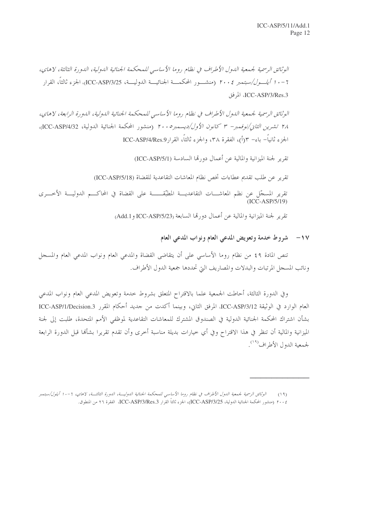الوثائق الرسمية لجيمعية اللهول الأطراف في نظام روما الأساسي للمحكمة الجنائية اللهولية، اللهورة الثالثة، لاهاي، 7 – • 1 *أيلـــول/سبتمبر ٢٠٠٤* (منشـــور المحكمـــة الجنائيـــة الدوليـــة، ICC-ASP/3/25، الجزء ثالثاً، القرار ICC-ASP/3/Res.3، المرفق

الوثائق الرسمية لجمعية الدول الأطراف في نظام روما الأساسي للمحكمة الجنائية الدولية، الدورة الرابعة، لاهاي، ٢٨ تشر*ين الثان/نوفمبر- ٣ كانون الأول/ديسمبر ٢٠٠٥* (منشور المحكمة الجنائية الدولية، ICC-ASP/4/32)، الجزء ثانياً– باء– ٣(أ)، الفقرة ٣٨، والجزء ثالثاً، القرارMCC-ASP/4/Res.9)

تقرير لجنة الميزانية والمالية عن أعمال دورتما السادسة (ICC-ASP/5/1)

تقرير عن طلب تقديم عطاءات تخص نظام المعاشات التقاعدية للقضاة (ICC-ASP/5/18)

تقرير المسجّل عن نظم المعاشــــات التقاعديــــة المطبّقــــــــة على القضاة في المحاكــــم الدوليــــة الأخـــرى<br>(ICC-ASP/5/19)

تقرير لجنة الميزانية والمالية عن أعمال دورتما السابعة (ICC-ASP/5/23 و Add.1)

## ١٧- \_ شروط خدمة وتعويض المدعى العام ونواب المدعى العام

تنص المادة ٤٩ من نظام روما الأساسي على أن يتقاضى القضاة والمدعى العام ونواب المدعى العام والمسجل ونائب المسجل المرتبات والبدلات والمصاريف التي تحددها جمعية الدول الأطراف.

وفي الدورة الثالثة، أحاطت الجمعية علما بالاقتراح المتعلق بشروط خدمة وتعويض المدعى العام ونواب المدعى العام الوارد في الوثيقة ICC-ASP/3/12، المرفق الثاني، وبينما أكدت من جديد أحكام المقرر ICC-ASP/1/Decision.3 بشأن اشتراك المحكمة الجنائية الدولية في الصندوق المشترك للمعاشات التقاعدية لموظفي الأمم المتحدة، طلبت إلى لجنة الميزانية والمالية أن تنظر في هذا الاقتراح وفي أي حيارات بديلة مناسبة أحرى وأن تقدم تقريرا بشألها قبل الدورة الرابعة لجمعية الدول الأطراف<sup>(١٩)</sup>.

الوثائق الرسمية لجمعية الدول الأطراف في نظام روما الأساسي للمحكمة الجنائية الدوليــة، الدورة الثالثــة، لاهاي، 1-١٠ أيلول/سبتمبر  $(19)$ ٢٠٠٤ (منشور المحكمة الجنائية الدولية، ICC-ASP/3/25)، الجزء ثالثاً القرار ICC-ASP/3/Res.3، الفقرة ٢٦ من المنطوق.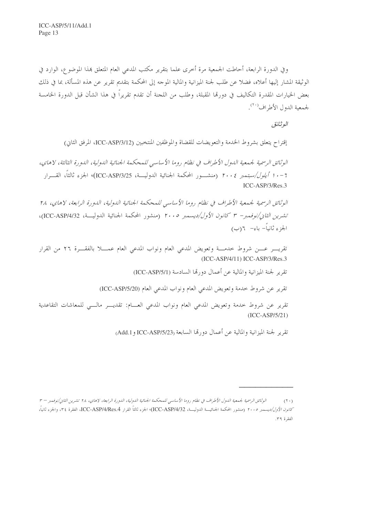وفي الدورة الرابعة، أحاطت الجمعية مرة أخرى علما بتقرير مكتب المدعى العام المتعلق بمذا الموضوع، الوارد في الوثيقة المشار إليها أعلاه، فضلا عن طلب لجنة الميزانية والمالية الموحه إلى المحكمة بتقديم تقرير عن هذه المسألة، بما في ذلك بعض الخيارات المقدرة التكاليف في دورقما المقبلة، وطلب من اللحنة أن تقدم تقريراً في هذا الشأن قبل الدورة الخامسة لجمعية الدول الأطراف<sup>(٢٠)</sup>.

الوثائق

إقتراح يتعلق بشروط الخدمة والتعويضات للقضاة والموظفين المنتخبين (ICC-ASP/3/12، المرفق الثاني)

الوثائق الرسمية لجيمعية اللهول الأطراف في نظام روما الأساسي للمحكمة الجنائية اللهولية، اللهورة الثالثة، لاهاي، 7 – • 1 *أيلول/سبتمبر ٢٠٠٤* (منشـــور المحكمة الجنائية الدوليـــة، ICC-ASP/3/25)، الجزء ثالثاً، القــــرار ICC-ASP/3/Res.3

الوثائق الرسمية لجمعية الأطراف في نظام روما الأساسي للمحكمة الجنائية الدولية، الدورة الرابعة، لاهاي، ٢٨ تشرين الثاني/نوفمه بر – ٣ كانون الأول/ديسمبر ٢٠٠٥ (منشور المحكمة الجنائية الدوليــة، ICC-ASP/4/32)، الجزء ثانياً- باء- ٦(ب)

تقريـــر عــــن شروط خدمــــة وتعويض المدعى العام ونواب المدعى العام عمــــلا بالفقــــرة ٢٦ من القرار (ICC-ASP/4/11) ICC-ASP/3/Res.3

تقرير لجنة الميزانية والمالية عن أعمال دورتما السادسة (ICC-ASP/5/1)

تقرير عن شروط حدمة وتعويض المدعى العام ونواب المدعى العام (ICC-ASP/5/20)

تقرير عن شروط حدمة وتعويض المدعى العام ونواب المدعى العسام: تقديسر مالي للمعاشات التقاعدية  $(ICC-ASP/5/21)$ 

تقرير لجنة الميزانية والمالية عن أعمال دورهّا السابعة (ICC-ASP/5/23 و Add.1)

الوثائق الرسمية لجيمعية الدول الأطراف في نظام روما الأساسي للمحكمة الجنائية الدولية، الدورة الرابعة، لاهاي، ٢٨ تشرين الثاني/نوفيدير = ٣  $(1 \cdot)$ كانون الأول/ديسمبر ٢٠٠٥ (منشور المحكمة الجنائيـــة الدوليـــة، ICC-ASP/4/Res.4)، الجزء ثالثاً القرار ICC-ASP/4/Res.4، الفقرة ٢٤، والجزء ثانياً، الفقرة ٣٩.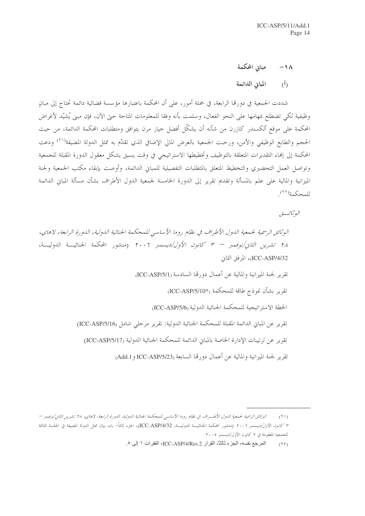مبانى المحكمة  $-1<sub>\lambda</sub>$ 

المبانى الدائمة  $\hat{(\Lambda)}$ 

شددت الجمعية في دورهّا الرابعة، في جملة أمور، على أن المحكمة باعتبارها مؤسسة قضائية دائمة تحتاج إلى مبانٍ وظيفية لكي تضطلع بمهامها على النحو الفعال، وسلمت بأنه وفقا للمعلومات المتاحة حتى الآن، فإن مبني يُشيّد لأغراض المحكمة على موقع ألكسندر كازرن من شأنه أن يشكّل أفضل حيار مرن يتوافق ومتطلبات المحكمة الدائمة، من حيث الحجم والطابع الوظيفي والأمن، ورحبت الجمعية بالعرض المالي الإضافي الذي تقدَّم به ممثل الدولة المضيفة<sup>(٢١)</sup> ودعت المحكمة إلى إنماء التقديرات المتعلقة بالتوظيف وتخطيطها الاستراتيجي في وقت يسبق بشكل معقول الدورة المقبلة للجمعية وتواصل العمل التحضيري والتخطيط المتعلق بالمتطلبات التفصيلية للمباني الدائمة، وأوصت بإبقاء مكتب الجمعية ولجنة الميزانية والمالية على علم بالمسألة وتقديم تقرير إلى الدورة الخامسة لجمعية الدول الأطراف بشأن مسألة المبانى الدائمة للمحكمة<sup>(٢٢)</sup>

البو ثبائب تور

الوثائق الرسمية لجيمعية الدول الأطراف في نظام روما الأساسي للمحكمة الجنائية الدولية، الدورة الرابعة، لاهاي، ٢٨ تشرين *الثاني/نوفيمبر – ٣ كانون الأول/ديس*مبر ٢٠٠٦ (منشور المحكمة الجنائيـــة الدوليـــة، ICC-ASP/4/32)، المرفق الثاني تقرير لجنة الميزانية والمالية عن أعمال دورتما السادسة (ICC-ASP/5/1) تقرير بشأن نموذج طاقة للمحكمة <sub>(\*I</sub>CC-ASP/5/10) الخطة الاستر اتبجية للمحكمة الجنائية الدولية (ICC-ASP/5/6 تقرير عن المباني الدائمة المقبلة للمحكمة الجنائية الدولية: تقرير مرحلي شامل (ICC-ASP/5/16) تقرير عن ترتيبات الإدارة الخاصة بالمباين الدائمة للمحكمة الجنائية الدولية (ICC-ASP/5/17) تقرير لجنة الميزانية والمالية عن أعمال دورهّا السابعة (ICC-ASP/5/23 و Add.1)

الوثائق الرسمية لجمعية الدول الأطــراف في نظام روما الأساسي للمحكمة الجنائية الدولية، الدورة الرابعة، لاهاي، ٢٨ تشرين الثاني/نوفمبر –  $(11)$ ٣ *كانون الأول/ديسمبر ٢٠٠٦* (منشور المحكمة الجنائيـــة الدوليـــة، ICC-ASP/4/32)، الجزء ثالثاً– باء، بيان ممثل الدولة المضيفة في الجلسة الثالثة للجمعية المعقودة في ٢ كانون الأول/ديسمبر ٢٠٠٥.

المرجع نفسه، الجزء ثالثًا، القرار ICC-ASP/4/Res.2، الفقرات ١ إلى ٥.  $(11)$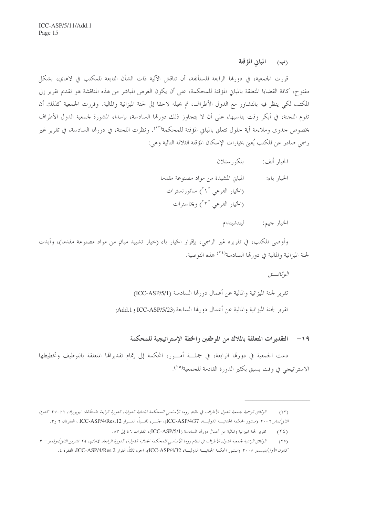المبانى المؤقتة  $(\hookrightarrow)$ 

قررت الجمعية، في دورتما الرابعة المستأنفة، أن تناقش الآلية ذات الشأن التابعة للمكتب في لاهاي، بشكل مفتوح، كافة القضايا المتعلقة بالمباني المؤقتة للمحكمة، على أن يكون الغرض المباشر من هذه المناقشة هو تقديم تقرير إلى المكتب لكي ينظر فيه بالتشاور مع الدول الأطراف، ثم يحيله لاحقا إلى لجنة الميزانية والمالية. وقررت الجمعية كذلك أن تقوم اللجنة، في أبكر وقت يناسبها، على أن لا يتجاوز ذلك دورتما السادسة، بإسداء المشورة لجمعية الدول الأطراف بخصوص حدوى وملاءمة أية حلول تتعلق بالمباني المؤقتة للمحكمة'٬٬۳). ونظرت اللجنة، في دورتما السادسة، في تقرير غير رسمي صادر عن المكتب يُعني بخيارات الإسكان المؤقتة الثلاثة التالية وهي:

> بنكو, ستلان الخيا, ألف: الخيار باء: المباني المشيدة من مواد مصنوعة مقدما (الخيار الفرعي `` `) ساتورنسترات (الخيار الفرعي '۲') ويخاسترات

### الخيار جيم: لينتشيندام

وأوصى المكتب، في تقريره غير الرسمي، بإقرار الخيار باء (حيار تشييد مبانٍ من مواد مصنوعة مقدما)، وأيدت لجنة المزانية والمالية في دو, هَا السادسة<sup>(٢٤)</sup> هذه التوصية.

> البوثيائسسق تقرير لجنة الميزانية والمالية عن أعمال دورتما السادسة (ICC-ASP/5/1) تقرير لجنة الميزانية والمالية عن أعمال دورتما السابعة (ICC-ASP/5/23 و Add.1)

التقديرات المتعلقة بالملاك من الموظفين والخطة الاستراتيجية للمحكمة  $-19$ 

دعت الجمعية في دورقما الرابعة، في جملـــة أمـــور، المحكمة إلى إتمام تقديرالها المتعلقة بالتوظيف وتخطيطها الاستراتيجي في وقت يسبق بكثير الدورة القادمة للجمعية<sup>(٢٥</sup>).

تقرير لجنة الميزانية والمالية عن أعمال دورتما السادسة (ICC-ASP/5/1)، الفقرات ٤٦ إلى ٥٣.  $(15)$ 

الوثائق الرسمية لجمعية الدول الأطراف في نظام روما الأساسي للمحكمة الجنائية الدولية، الدورة الرابعة المستأنفة، نيويورك، ٢٦–٢٢ كانون  $(11)$ الثنايز ٢٠٠٢ (منشور المحكمة الجنائيـــة الدوليـــة، ICC-ASP/4/Res.12)، الجـــزء ثانـــياً، القـــرار ICC-ASP/4/Res.12 ، الفقرتان ٢ و٣.

الوثائق الرسمية لجمعية الدول الأطراف في نظام روما الأساسي للمحكمة الجنائية الدولية، الدورة الرابعة، لاهاي، ٢٨ تشرين الثاني/نوفمبر – ٣  $(10)$ كانو*ن الأول/ديسمبر ٢٠٠٥* (منشور المحكمة الجنائيـــة الدوليـــة، ICC-ASP/4/32)، الجزء ثالثاً، القرار ICC-ASP/4/Res.2، الفقرة ٤.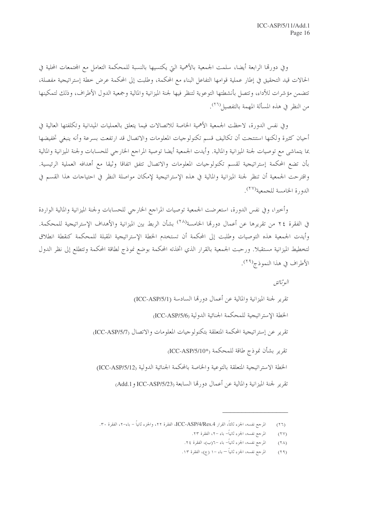وفي دورقما الرابعة أيضا، سلمت الجمعية بالأهمية التي يكتسيها بالنسبة للمحكمة التعامل مع المحتمعات المحلية في الحالات قيد التحقيق في إطار عملية قوامها التفاعل البناء مع المحكمة، وطلبت إلى المحكمة عرض حطة إستراتيجية مفصلة، تتضمن مؤشرات للأداء، وتتصل بأنشطتها التوعوية لتنظر فيها لجنة الميزانية والمالية وجمعية الدول الأطراف، وذلك لتمكينها من النظر في هذه المسألة المهمة بالتفصيل (٢٦).

وفي نفس الدورة، لاحظت الجمعية الأهمية الحاصة للاتصالات فيما يتعلق بالعمليات الميدانية وتكلفتها العالية في أحيان كثيرة ولكنها استنتجت أن تكاليف قسم تكنولوجيات المعلومات والاتصال قد ارتفعت بسرعة وأنه ينبغي تخفيضها بما يتماشى مع توصيات لجنة الميزانية والمالية. وأيدت الجمعية أيضا توصية المراجع الخارجي للحسابات ولجنة الميزانية والمالية بأن تضع المحكمة إستراتيجية لقسم تكنولوجيات المعلومات والاتصال تتفق اتفاقا وثيقا مع أهدافه العملية الرئيسية. واقترحت الجمعية أن تنظر لجنة الميزانية والمالية في هذه الإستراتيجية لإمكان مواصلة النظر في احتياحات هذا القسم في الدورة الخامسة للجمعية<sup>(٢٧</sup>).

وأخيرا، وفي نفس الدورة، استعرضت الجمعية توصيات المراحع الخارجي للحسابات ولجنة الميزانية والمالية الواردة في الفقرة ٢٤ من تقريرها عن أعمال دورها الخامسة<sup>(٢٨)</sup> بشأن الربط بين الميزانية والأهداف الإستراتيجية للمحكمة. وأيدت الجمعية هذه التوصيات وطلبت إلى المحكمة أن تستخدم الخطة الإستراتيجية المقبلة للمحكمة كنقطة انطلاق لتخطيط الميزانية مستقبلا. ورحبت الجمعية بالقرار الذي اتخذته المحكمة بوضع نموذج لطاقة المحكمة وتتطلع إلى نظر الدول الأطراف في هذا النموذج<sup>(٢٩)</sup>.

البوثيائق

تقرير لجنة الميزانية والمالية عن أعمال دورتها السادسة (ICC-ASP/5/1) الخطة الإستراتيجية للمحكمة الجنائية الدولية (ICC-ASP/5/6) تقرير عن إستراتيجية المحكمة المتعلقة بتكنولوجيات المعلومات والاتصال (ICC-ASP/5/7) تقرير بشأن نموذج طاقة للمحكمة <sub>(\*ICC-ASP/5/10)</sub> الخطة الاستراتيجية المتعلقة بالتوعية والخاصة بالمحكمة الجنائية الدولية (ICC-ASP/5/12) تقرير لجنة الميزانية والمالية عن أعمال دورتما السابعة (ICC-ASP/5/23 و Add.1)

المرجع نفسه، الجزء ثالثاً، القرار ICC-ASP/4/Res.4، الفقرة ٢٢، والجزء ثانياً – باء–٢، الفقرة ٣٠.  $(TT)$ 

المرجع نفسه، الجزء ثانياً– باء –٢، الفقرة ٢٣.  $(11)$ 

المرجع نفسه، الجزء ثانياً– باء –٦(ب)، الفقرة ٢٤.  $(1 \lambda)$ 

المرجع نفسه، الجزء ثانياً — باء –١ (ج)، الفقرة ١٣.  $(19)$